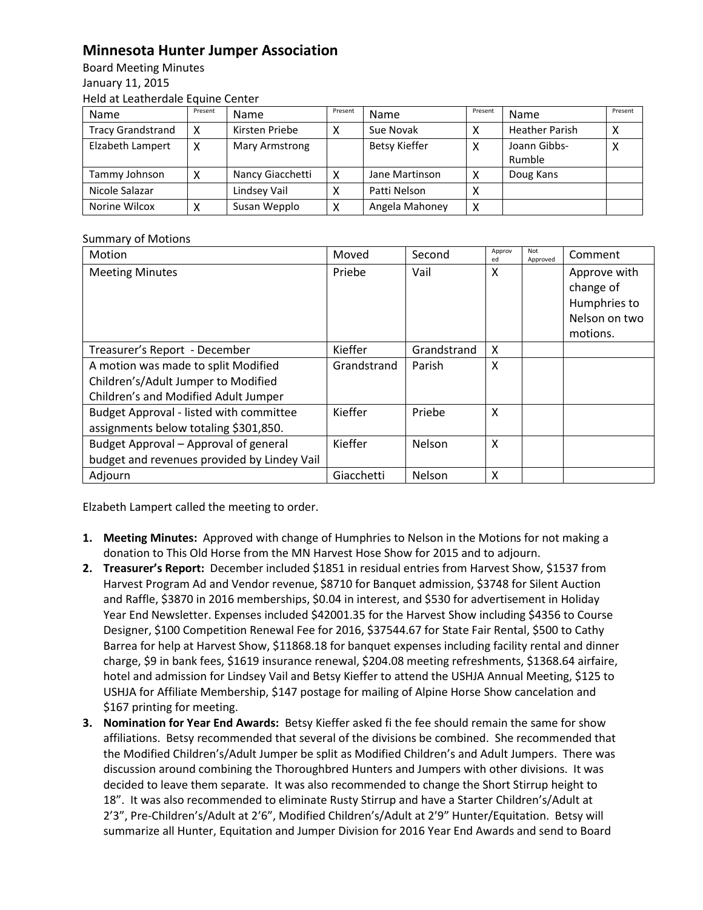## **Minnesota Hunter Jumper Association**

Board Meeting Minutes January 11, 2015 Held at Leatherdale Equine Center

| Name                     | Present | Name             | Present | Name                 | Present | Name                   | Present |
|--------------------------|---------|------------------|---------|----------------------|---------|------------------------|---------|
| <b>Tracy Grandstrand</b> |         | Kirsten Priebe   |         | Sue Novak            |         | <b>Heather Parish</b>  | ◠       |
| Elzabeth Lampert         |         | Mary Armstrong   |         | <b>Betsy Kieffer</b> | Χ       | Joann Gibbs-<br>Rumble |         |
| Tammy Johnson            |         | Nancy Giacchetti | χ       | Jane Martinson       | х       | Doug Kans              |         |
| Nicole Salazar           |         | Lindsey Vail     |         | Patti Nelson         | ⌒       |                        |         |
| Norine Wilcox            |         | Susan Wepplo     | Χ       | Angela Mahoney       | Χ       |                        |         |

## Summary of Motions

| Motion                                                                                                             | Moved       | Second      | Approv<br>ed | Not<br>Approved | Comment                                                                |
|--------------------------------------------------------------------------------------------------------------------|-------------|-------------|--------------|-----------------|------------------------------------------------------------------------|
| <b>Meeting Minutes</b>                                                                                             | Priebe      | Vail        | X            |                 | Approve with<br>change of<br>Humphries to<br>Nelson on two<br>motions. |
| Treasurer's Report - December                                                                                      | Kieffer     | Grandstrand | X            |                 |                                                                        |
| A motion was made to split Modified<br>Children's/Adult Jumper to Modified<br>Children's and Modified Adult Jumper | Grandstrand | Parish      | X            |                 |                                                                        |
| Budget Approval - listed with committee<br>assignments below totaling \$301,850.                                   | Kieffer     | Priebe      | X            |                 |                                                                        |
| Budget Approval - Approval of general<br>budget and revenues provided by Lindey Vail                               | Kieffer     | Nelson      | X            |                 |                                                                        |
| Adjourn                                                                                                            | Giacchetti  | Nelson      | X            |                 |                                                                        |

Elzabeth Lampert called the meeting to order.

- **1. Meeting Minutes:** Approved with change of Humphries to Nelson in the Motions for not making a donation to This Old Horse from the MN Harvest Hose Show for 2015 and to adjourn.
- **2. Treasurer's Report:** December included \$1851 in residual entries from Harvest Show, \$1537 from Harvest Program Ad and Vendor revenue, \$8710 for Banquet admission, \$3748 for Silent Auction and Raffle, \$3870 in 2016 memberships, \$0.04 in interest, and \$530 for advertisement in Holiday Year End Newsletter. Expenses included \$42001.35 for the Harvest Show including \$4356 to Course Designer, \$100 Competition Renewal Fee for 2016, \$37544.67 for State Fair Rental, \$500 to Cathy Barrea for help at Harvest Show, \$11868.18 for banquet expenses including facility rental and dinner charge, \$9 in bank fees, \$1619 insurance renewal, \$204.08 meeting refreshments, \$1368.64 airfaire, hotel and admission for Lindsey Vail and Betsy Kieffer to attend the USHJA Annual Meeting, \$125 to USHJA for Affiliate Membership, \$147 postage for mailing of Alpine Horse Show cancelation and \$167 printing for meeting.
- **3. Nomination for Year End Awards:** Betsy Kieffer asked fi the fee should remain the same for show affiliations. Betsy recommended that several of the divisions be combined. She recommended that the Modified Children's/Adult Jumper be split as Modified Children's and Adult Jumpers. There was discussion around combining the Thoroughbred Hunters and Jumpers with other divisions. It was decided to leave them separate. It was also recommended to change the Short Stirrup height to 18". It was also recommended to eliminate Rusty Stirrup and have a Starter Children's/Adult at 2'3", Pre-Children's/Adult at 2'6", Modified Children's/Adult at 2'9" Hunter/Equitation. Betsy will summarize all Hunter, Equitation and Jumper Division for 2016 Year End Awards and send to Board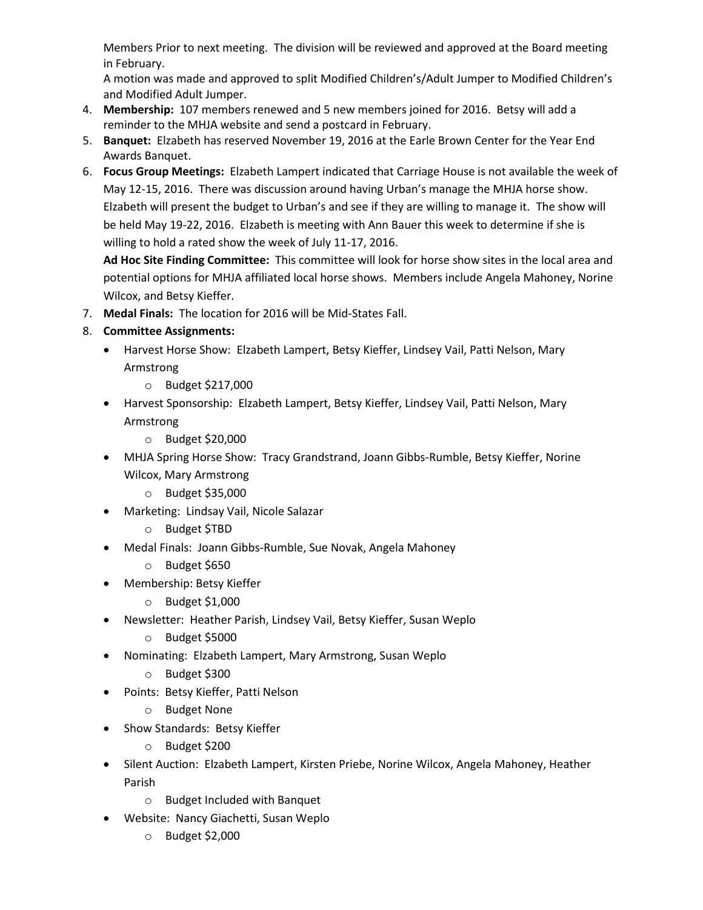Members Prior to next meeting. The division will be reviewed and approved at the Board meeting in February.

A motion was made and approved to split Modified Children's/Adult Jumper to Modified Children's and Modified Adult Jumper.

- 4. **Membership:** 107 members renewed and 5 new members joined for 2016. Betsy will add a reminder to the MHJA website and send a postcard in February.
- 5. **Banquet:** Elzabeth has reserved November 19, 2016 at the Earle Brown Center for the Year End Awards Banquet.
- 6. **Focus Group Meetings:** Elzabeth Lampert indicated that Carriage House is not available the week of May 12-15, 2016. There was discussion around having Urban's manage the MHJA horse show. Elzabeth will present the budget to Urban's and see if they are willing to manage it. The show will be held May 19-22, 2016. Elzabeth is meeting with Ann Bauer this week to determine if she is willing to hold a rated show the week of July 11-17, 2016.

**Ad Hoc Site Finding Committee:** This committee will look for horse show sites in the local area and potential options for MHJA affiliated local horse shows. Members include Angela Mahoney, Norine Wilcox, and Betsy Kieffer.

- 7. **Medal Finals:** The location for 2016 will be Mid-States Fall.
- 8. **Committee Assignments:**
	- Harvest Horse Show: Elzabeth Lampert, Betsy Kieffer, Lindsey Vail, Patti Nelson, Mary Armstrong
		- o Budget \$217,000
	- Harvest Sponsorship: Elzabeth Lampert, Betsy Kieffer, Lindsey Vail, Patti Nelson, Mary Armstrong
		- o Budget \$20,000
	- MHJA Spring Horse Show: Tracy Grandstrand, Joann Gibbs-Rumble, Betsy Kieffer, Norine Wilcox, Mary Armstrong
		- o Budget \$35,000
	- Marketing: Lindsay Vail, Nicole Salazar
		- o Budget \$TBD
	- Medal Finals: Joann Gibbs-Rumble, Sue Novak, Angela Mahoney
		- o Budget \$650
	- Membership: Betsy Kieffer
		- o Budget \$1,000
	- Newsletter: Heather Parish, Lindsey Vail, Betsy Kieffer, Susan Weplo
		- o Budget \$5000
	- Nominating: Elzabeth Lampert, Mary Armstrong, Susan Weplo
		- o Budget \$300
	- Points: Betsy Kieffer, Patti Nelson
		- o Budget None
	- Show Standards: Betsy Kieffer
		- o Budget \$200
	- Silent Auction: Elzabeth Lampert, Kirsten Priebe, Norine Wilcox, Angela Mahoney, Heather Parish
		- o Budget Included with Banquet
	- Website: Nancy Giachetti, Susan Weplo
		- o Budget \$2,000